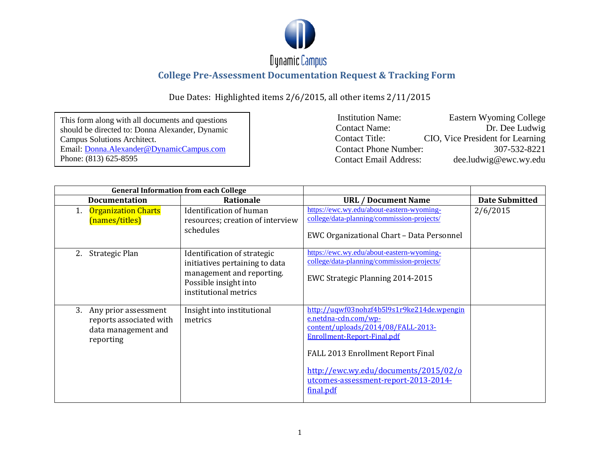

| This form along with all documents and questions |
|--------------------------------------------------|
| should be directed to: Donna Alexander, Dynamic  |
| Campus Solutions Architect.                      |
| Email: Donna. Alexander @ Dynamic Campus.com     |
| Phone: (813) 625-8595                            |

| <b>Institution Name:</b>      | Eastern Wyoming College          |
|-------------------------------|----------------------------------|
| <b>Contact Name:</b>          | Dr. Dee Ludwig                   |
| <b>Contact Title:</b>         | CIO, Vice President for Learning |
| <b>Contact Phone Number:</b>  | 307-532-8221                     |
| <b>Contact Email Address:</b> | $de$ .ludwig@ewc.wy.edu          |

| <b>General Information from each College</b>                |                         |                                                                                                                                              |                                                                                                                                                                                                                                                                            |                       |
|-------------------------------------------------------------|-------------------------|----------------------------------------------------------------------------------------------------------------------------------------------|----------------------------------------------------------------------------------------------------------------------------------------------------------------------------------------------------------------------------------------------------------------------------|-----------------------|
| <b>Documentation</b>                                        |                         | Rationale                                                                                                                                    | <b>URL / Document Name</b>                                                                                                                                                                                                                                                 | <b>Date Submitted</b> |
| <b>Organization Charts</b><br>1.<br>(names/titles)          |                         | Identification of human<br>resources; creation of interview<br>schedules                                                                     | https://ewc.wy.edu/about-eastern-wyoming-<br>college/data-planning/commission-projects/<br>EWC Organizational Chart - Data Personnel                                                                                                                                       | 2/6/2015              |
| Strategic Plan<br>2.                                        |                         | Identification of strategic<br>initiatives pertaining to data<br>management and reporting.<br>Possible insight into<br>institutional metrics | https://ewc.wy.edu/about-eastern-wyoming-<br>college/data-planning/commission-projects/<br>EWC Strategic Planning 2014-2015                                                                                                                                                |                       |
| 3. Any prior assessment<br>data management and<br>reporting | reports associated with | Insight into institutional<br>metrics                                                                                                        | http://uqwf03nohzf4b5l9s1r9ke214de.wpengin<br>e.netdna-cdn.com/wp-<br>content/uploads/2014/08/FALL-2013-<br>Enrollment-Report-Final.pdf<br>FALL 2013 Enrollment Report Final<br>http://ewc.wy.edu/documents/2015/02/o<br>utcomes-assessment-report-2013-2014-<br>final.pdf |                       |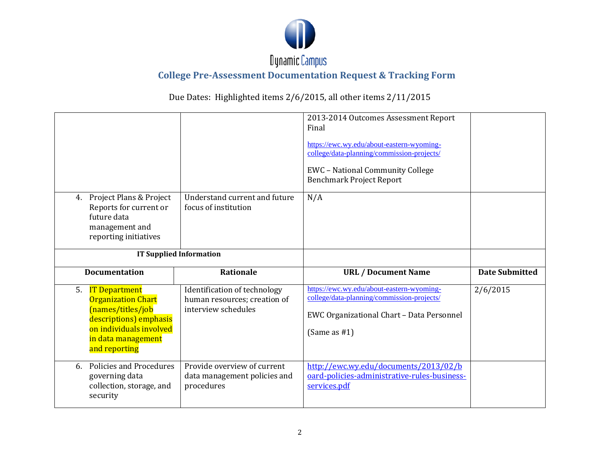

| 4.                             | Project Plans & Project<br>Reports for current or<br>future data<br>management and<br>reporting initiatives                                                        | Understand current and future<br>focus of institution                               | 2013-2014 Outcomes Assessment Report<br>Final<br>https://ewc.wy.edu/about-eastern-wyoming-<br>college/data-planning/commission-projects/<br><b>EWC</b> - National Community College<br><b>Benchmark Project Report</b><br>N/A |                       |
|--------------------------------|--------------------------------------------------------------------------------------------------------------------------------------------------------------------|-------------------------------------------------------------------------------------|-------------------------------------------------------------------------------------------------------------------------------------------------------------------------------------------------------------------------------|-----------------------|
| <b>IT Supplied Information</b> |                                                                                                                                                                    |                                                                                     |                                                                                                                                                                                                                               |                       |
|                                |                                                                                                                                                                    |                                                                                     |                                                                                                                                                                                                                               |                       |
|                                | <b>Documentation</b>                                                                                                                                               | <b>Rationale</b>                                                                    | <b>URL / Document Name</b>                                                                                                                                                                                                    | <b>Date Submitted</b> |
| 5.                             | <b>IT Department</b><br><b>Organization Chart</b><br>(names/titles/job<br>descriptions) emphasis<br>on individuals involved<br>in data management<br>and reporting | Identification of technology<br>human resources; creation of<br>interview schedules | https://ewc.wy.edu/about-eastern-wyoming-<br>college/data-planning/commission-projects/<br>EWC Organizational Chart - Data Personnel<br>(Same as $#1$ )                                                                       | 2/6/2015              |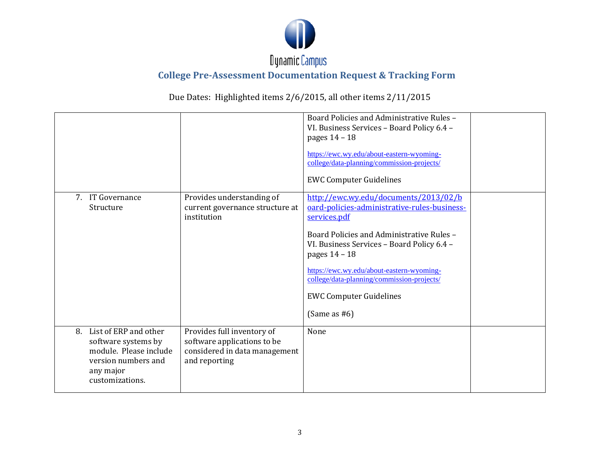

|    |                                                                                                                               |                                                                                                             | Board Policies and Administrative Rules -<br>VI. Business Services - Board Policy 6.4 -<br>pages 14 - 18<br>https://ewc.wy.edu/about-eastern-wyoming-<br>college/data-planning/commission-projects/<br><b>EWC Computer Guidelines</b>                                                                                                                             |  |
|----|-------------------------------------------------------------------------------------------------------------------------------|-------------------------------------------------------------------------------------------------------------|-------------------------------------------------------------------------------------------------------------------------------------------------------------------------------------------------------------------------------------------------------------------------------------------------------------------------------------------------------------------|--|
|    | 7. IT Governance<br>Structure                                                                                                 | Provides understanding of<br>current governance structure at<br>institution                                 | http://ewc.wy.edu/documents/2013/02/b<br>oard-policies-administrative-rules-business-<br>services.pdf<br>Board Policies and Administrative Rules -<br>VI. Business Services - Board Policy 6.4 -<br>pages 14 - 18<br>https://ewc.wy.edu/about-eastern-wyoming-<br>college/data-planning/commission-projects/<br><b>EWC Computer Guidelines</b><br>(Same as $#6$ ) |  |
| 8. | List of ERP and other<br>software systems by<br>module. Please include<br>version numbers and<br>any major<br>customizations. | Provides full inventory of<br>software applications to be<br>considered in data management<br>and reporting | None                                                                                                                                                                                                                                                                                                                                                              |  |